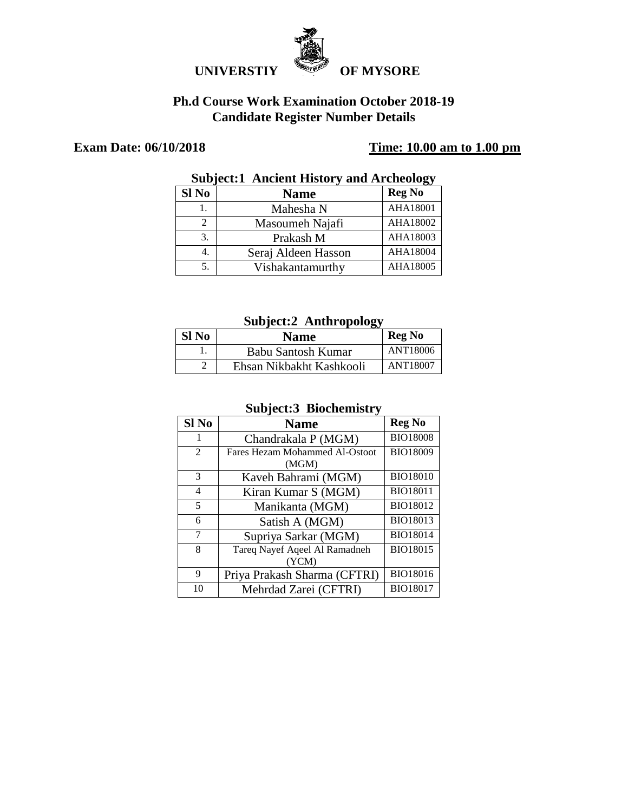

#### **Ph.d Course Work Examination October 2018-19 Candidate Register Number Details**

#### **Exam Date: 06/10/2018 Time: 10.00 am to 1.00 pm**

#### **Subject:1 Ancient History and Archeology**

| Sl No | <b>Name</b>         | <b>Reg No</b>   |
|-------|---------------------|-----------------|
|       | Mahesha N           | <b>AHA18001</b> |
| 2     | Masoumeh Najafi     | AHA18002        |
| 3.    | Prakash M           | AHA18003        |
|       | Seraj Aldeen Hasson | AHA18004        |
|       | Vishakantamurthy    | AHA18005        |

#### **Subject:2 Anthropology**

| Sl No | Name                     | <b>Reg No</b> |
|-------|--------------------------|---------------|
|       | Babu Santosh Kumar       | ANT18006      |
|       | Ehsan Nikbakht Kashkooli | ANT18007      |

#### **Subject:3 Biochemistry**

| Sl <sub>No</sub> | <b>Name</b>                    | <b>Reg No</b>   |
|------------------|--------------------------------|-----------------|
| 1                | Chandrakala P (MGM)            | <b>BIO18008</b> |
| $\overline{2}$   | Fares Hezam Mohammed Al-Ostoot | BIO18009        |
|                  | (MGM)                          |                 |
| 3                | Kaveh Bahrami (MGM)            | <b>BIO18010</b> |
| 4                | Kiran Kumar S (MGM)            | <b>BIO18011</b> |
| 5                | Manikanta (MGM)                | BIO18012        |
| 6                | Satish A (MGM)                 | <b>BIO18013</b> |
| 7                | Supriya Sarkar (MGM)           | <b>BIO18014</b> |
| 8                | Tareq Nayef Aqeel Al Ramadneh  | <b>BIO18015</b> |
|                  | (YCM)                          |                 |
| 9                | Priya Prakash Sharma (CFTRI)   | BIO18016        |
| 10               | Mehrdad Zarei (CFTRI)          | <b>BIO18017</b> |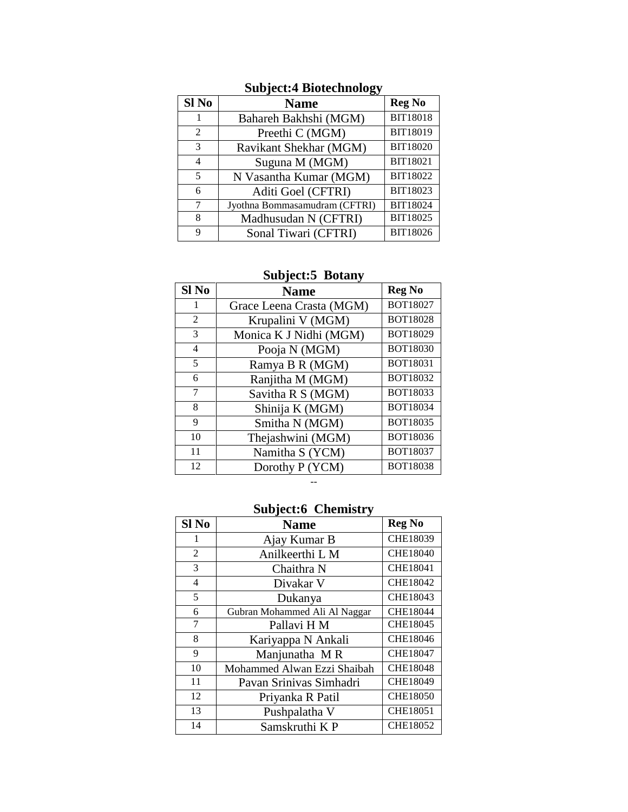| Sl No | <b>Name</b>                   | <b>Reg No</b>   |
|-------|-------------------------------|-----------------|
|       | Bahareh Bakhshi (MGM)         | <b>BIT18018</b> |
| 2     | Preethi C (MGM)               | BIT18019        |
| 3     | Ravikant Shekhar (MGM)        | BIT18020        |
| 4     | Suguna M (MGM)                | BIT18021        |
| 5     | N Vasantha Kumar (MGM)        | BIT18022        |
| 6     | Aditi Goel (CFTRI)            | BIT18023        |
| 7     | Jyothna Bommasamudram (CFTRI) | BIT18024        |
| 8     | Madhusudan N (CFTRI)          | BIT18025        |
| 9     | Sonal Tiwari (CFTRI)          | BIT18026        |

### **Subject:4 Biotechnology**

#### **Subject:5 Botany**

| Sl No | <b>Name</b>              | <b>Reg No</b>   |
|-------|--------------------------|-----------------|
| 1     | Grace Leena Crasta (MGM) | BOT18027        |
| 2     | Krupalini V (MGM)        | <b>BOT18028</b> |
| 3     | Monica K J Nidhi (MGM)   | BOT18029        |
| 4     | Pooja N (MGM)            | <b>BOT18030</b> |
| 5     | Ramya B R (MGM)          | BOT18031        |
| 6     | Ranjitha M (MGM)         | BOT18032        |
| 7     | Savitha R S (MGM)        | BOT18033        |
| 8     | Shinija K (MGM)          | BOT18034        |
| 9     | Smitha N (MGM)           | BOT18035        |
| 10    | Thejashwini (MGM)        | BOT18036        |
| 11    | Namitha S (YCM)          | <b>BOT18037</b> |
| 12    | Dorothy P (YCM)          | <b>BOT18038</b> |

#### --

## **Subject:6 Chemistry**

| Sl <sub>No</sub> | <b>Name</b>                   | <b>Reg No</b>   |
|------------------|-------------------------------|-----------------|
|                  | Ajay Kumar B                  | CHE18039        |
| $\overline{2}$   | Anilkeerthi L M               | <b>CHE18040</b> |
| 3                | Chaithra N                    | <b>CHE18041</b> |
| 4                | Divakar V                     | CHE18042        |
| 5                | Dukanya                       | CHE18043        |
| 6                | Gubran Mohammed Ali Al Naggar | CHE18044        |
| 7                | Pallavi H M                   | CHE18045        |
| 8                | Kariyappa N Ankali            | CHE18046        |
| 9                | Manjunatha MR                 | CHE18047        |
| 10               | Mohammed Alwan Ezzi Shaibah   | CHE18048        |
| 11               | Pavan Srinivas Simhadri       | CHE18049        |
| 12               | Priyanka R Patil              | <b>CHE18050</b> |
| 13               | Pushpalatha V                 | <b>CHE18051</b> |
| 14               | Samskruthi KP                 | <b>CHE18052</b> |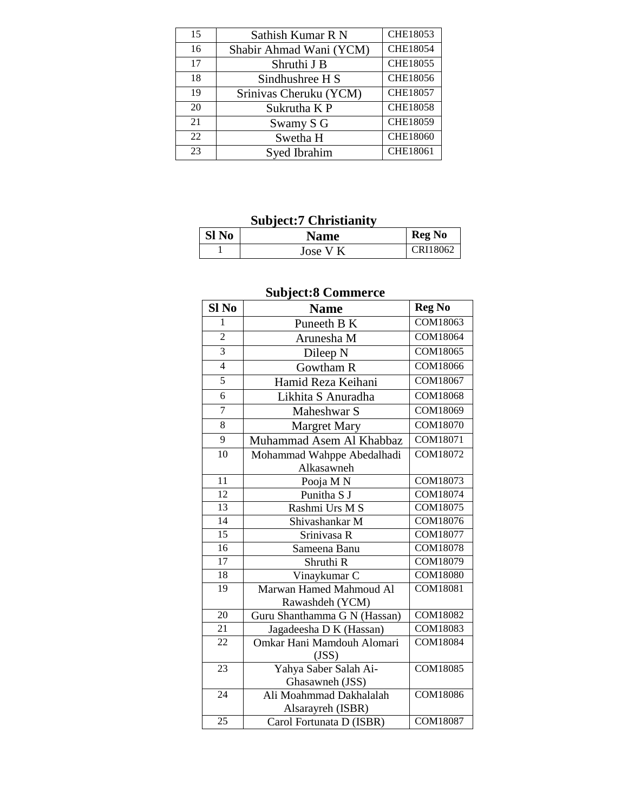| 15 | Sathish Kumar R N       | CHE18053        |
|----|-------------------------|-----------------|
| 16 | Shabir Ahmad Wani (YCM) | CHE18054        |
| 17 | Shruthi J B             | <b>CHE18055</b> |
| 18 | Sindhushree H S         | CHE18056        |
| 19 | Srinivas Cheruku (YCM)  | CHE18057        |
| 20 | Sukrutha K P            | <b>CHE18058</b> |
| 21 | Swamy S G               | CHE18059        |
| 22 | Swetha H                | <b>CHE18060</b> |
| 23 | Syed Ibrahim            | CHE18061        |

## **Subject:7 Christianity**

| Sl No | <b>Name</b> | <b>Reg No</b> |
|-------|-------------|---------------|
|       | Jose V K    | CRI18062      |

### **Subject:8 Commerce**

| Sl <sub>No</sub> | <b>Name</b>                  | <b>Reg No</b>   |
|------------------|------------------------------|-----------------|
| 1                | Puneeth B K                  | <b>COM18063</b> |
| $\overline{2}$   | Arunesha M                   | <b>COM18064</b> |
| $\overline{3}$   | Dileep N                     | <b>COM18065</b> |
| $\overline{4}$   | Gowtham R                    | COM18066        |
| 5                | Hamid Reza Keihani           | <b>COM18067</b> |
| 6                | Likhita S Anuradha           | COM18068        |
| $\overline{7}$   | Maheshwar S                  | COM18069        |
| 8                | <b>Margret Mary</b>          | COM18070        |
| $\overline{9}$   | Muhammad Asem Al Khabbaz     | <b>COM18071</b> |
| 10               | Mohammad Wahppe Abedalhadi   | <b>COM18072</b> |
|                  | Alkasawneh                   |                 |
| 11               | Pooja M <sub>N</sub>         | COM18073        |
| $\overline{12}$  | Punitha S J                  | <b>COM18074</b> |
| 13               | Rashmi Urs M S               | <b>COM18075</b> |
| $\overline{14}$  | Shivashankar M               | COM18076        |
| $\overline{15}$  | Srinivasa R                  | <b>COM18077</b> |
| $\overline{16}$  | Sameena Banu                 | COM18078        |
| 17               | Shruthi R                    | COM18079        |
| 18               | Vinaykumar C                 | <b>COM18080</b> |
| $\overline{19}$  | Marwan Hamed Mahmoud Al      | COM18081        |
|                  | Rawashdeh (YCM)              |                 |
| 20               | Guru Shanthamma G N (Hassan) | COM18082        |
| 21               | Jagadeesha D K (Hassan)      | COM18083        |
| 22               | Omkar Hani Mamdouh Alomari   | <b>COM18084</b> |
|                  | (JSS)                        |                 |
| 23               | Yahya Saber Salah Ai-        | <b>COM18085</b> |
|                  | Ghasawneh (JSS)              |                 |
| $\overline{24}$  | Ali Moahmmad Dakhalalah      | COM18086        |
|                  | Alsarayreh (ISBR)            |                 |
| 25               | Carol Fortunata D (ISBR)     | <b>COM18087</b> |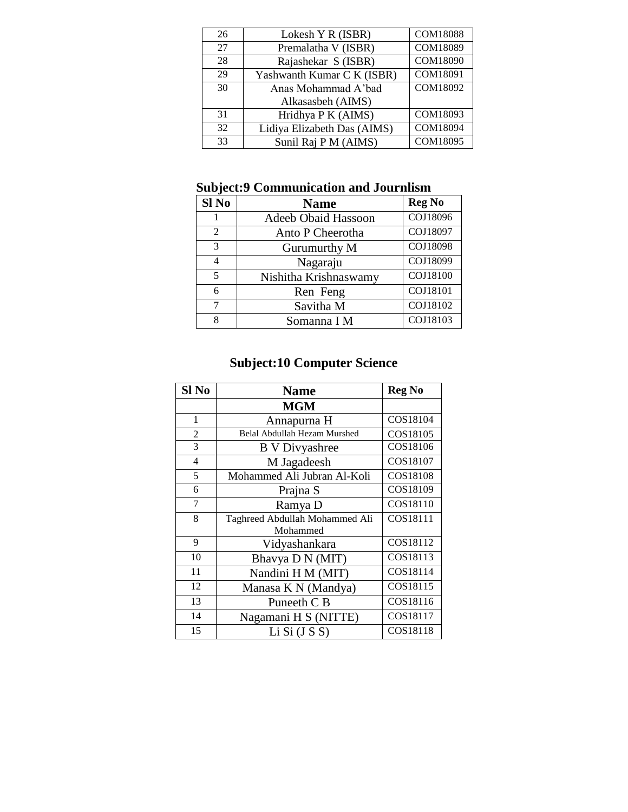| 26 | Lokesh Y R (ISBR)           | <b>COM18088</b> |
|----|-----------------------------|-----------------|
| 27 | Premalatha V (ISBR)         | COM18089        |
| 28 | Rajashekar S (ISBR)         | COM18090        |
| 29 | Yashwanth Kumar C K (ISBR)  | COM18091        |
| 30 | Anas Mohammad A'bad         | COM18092        |
|    | Alkasasbeh (AIMS)           |                 |
| 31 | Hridhya P K (AIMS)          | COM18093        |
| 32 | Lidiya Elizabeth Das (AIMS) | COM18094        |
| 33 | Sunil Raj P M (AIMS)        | COM18095        |

### **Subject:9 Communication and Journlism**

| <b>Subject:9 Communication and Journlism</b> |                            |               |
|----------------------------------------------|----------------------------|---------------|
| Sl <sub>No</sub>                             | <b>Name</b>                | <b>Reg No</b> |
| 1                                            | <b>Adeeb Obaid Hassoon</b> | COJ18096      |
| 2                                            | Anto P Cheerotha           | COJ18097      |
| 3                                            | Gurumurthy M               | COJ18098      |
| 4                                            | Nagaraju                   | COJ18099      |
| 5                                            | Nishitha Krishnaswamy      | COJ18100      |
| 6                                            | Ren Feng                   | COJ18101      |
| 7                                            | Savitha M                  | COJ18102      |
| 8                                            | Somanna I M                | COJ18103      |

# **Subject:10 Computer Science**

| Sl <sub>No</sub> | <b>Name</b>                                | <b>Reg No</b> |
|------------------|--------------------------------------------|---------------|
|                  | <b>MGM</b>                                 |               |
| 1                | Annapurna H                                | COS18104      |
| $\overline{2}$   | Belal Abdullah Hezam Murshed               | COS18105      |
| 3                | <b>B</b> V Divyashree                      | COS18106      |
| $\overline{4}$   | M Jagadeesh                                | COS18107      |
| 5                | Mohammed Ali Jubran Al-Koli                | COS18108      |
| 6                | Prajna S                                   | COS18109      |
| 7                | Ramya D                                    | COS18110      |
| 8                | Taghreed Abdullah Mohammed Ali<br>Mohammed | COS18111      |
| 9                | Vidyashankara                              | COS18112      |
| 10               | Bhavya D N (MIT)                           | COS18113      |
| 11               | Nandini H M (MIT)                          | COS18114      |
| 12               | Manasa K N (Mandya)                        | COS18115      |
| 13               | Puneeth C B                                | COS18116      |
| 14               | Nagamani H S (NITTE)                       | COS18117      |
| 15               | Li Si (J S)                                | COS18118      |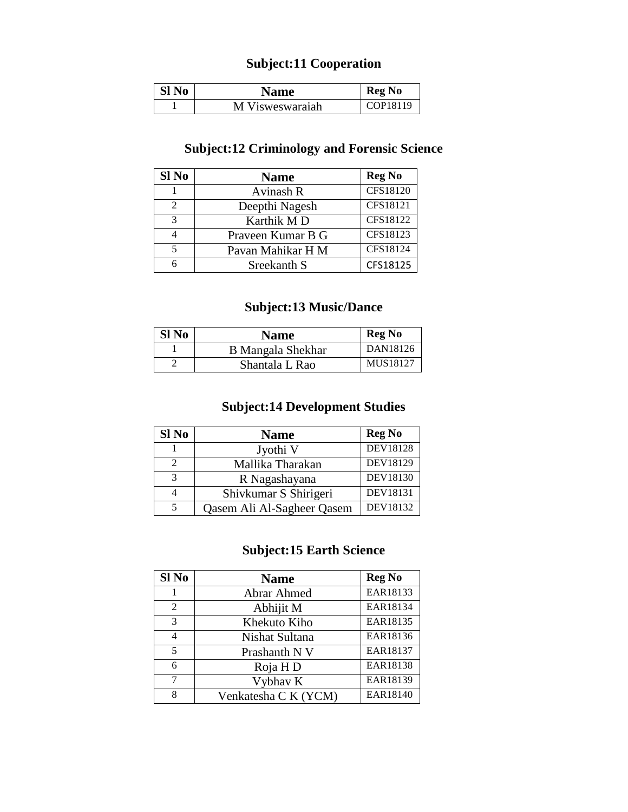#### **Subject:11 Cooperation**

| Sl No | <b>Name</b>     | <b>Reg No</b> |
|-------|-----------------|---------------|
|       | M Visweswaraiah | COP18119      |

#### **Subject:12 Criminology and Forensic Science**

| Sl No          | <b>Name</b>       | <b>Reg No</b>   |
|----------------|-------------------|-----------------|
|                | Avinash R         | <b>CFS18120</b> |
| $\mathfrak{D}$ | Deepthi Nagesh    | CFS18121        |
| 3              | Karthik MD        | CFS18122        |
|                | Praveen Kumar B G | CFS18123        |
| 5              | Pavan Mahikar H M | CFS18124        |
| 6              | Sreekanth S       | CFS18125        |

### **Subject:13 Music/Dance**

| Sl No | <b>Name</b>              | <b>Reg No</b> |
|-------|--------------------------|---------------|
|       | <b>B</b> Mangala Shekhar | DAN18126      |
|       | Shantala L Rao           | MUS18127      |

#### **Subject:14 Development Studies**

| Sl No | <b>Name</b>                | <b>Reg No</b>   |
|-------|----------------------------|-----------------|
|       | Jyothi V                   | <b>DEV18128</b> |
| 2     | Mallika Tharakan           | DEV18129        |
| 3     | R Nagashayana              | DEV18130        |
|       | Shivkumar S Shirigeri      | DEV18131        |
|       | Qasem Ali Al-Sagheer Qasem | DEV18132        |

### **Subject:15 Earth Science**

| Sl No | <b>Name</b>          | <b>Reg No</b> |
|-------|----------------------|---------------|
|       | <b>Abrar Ahmed</b>   | EAR18133      |
| 2     | Abhijit M            | EAR18134      |
| 3     | Khekuto Kiho         | EAR18135      |
| 4     | Nishat Sultana       | EAR18136      |
| 5     | Prashanth N V        | EAR18137      |
| 6     | Roja H D             | EAR18138      |
| 7     | Vybhav K             | EAR18139      |
| 8     | Venkatesha C K (YCM) | EAR18140      |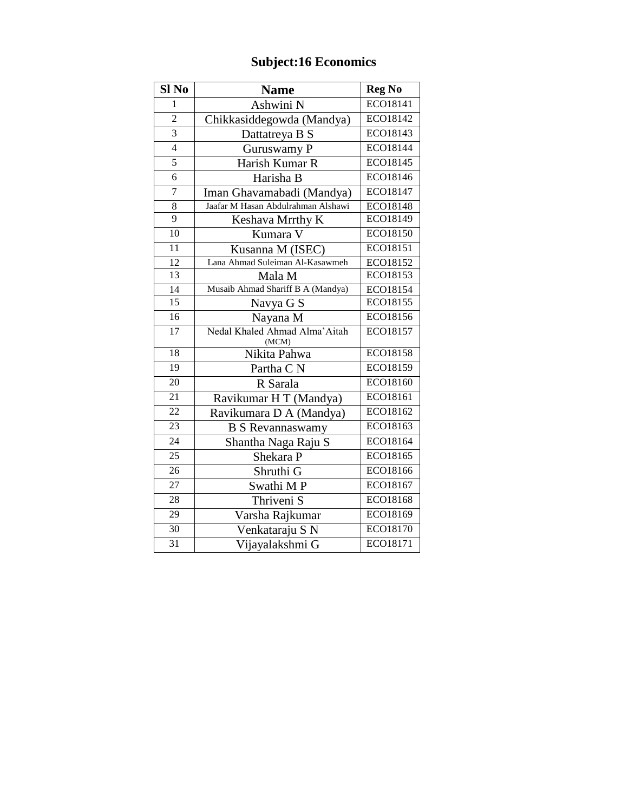## **Subject:16 Economics**

| Sl <sub>No</sub> | <b>Name</b>                             | <b>Reg No</b>   |
|------------------|-----------------------------------------|-----------------|
| $\mathbf{1}$     | Ashwini N                               | ECO18141        |
| $\overline{2}$   | Chikkasiddegowda (Mandya)               | ECO18142        |
| $\overline{3}$   | Dattatreya B S                          | ECO18143        |
| $\overline{4}$   | Guruswamy P                             | ECO18144        |
| $\overline{5}$   | Harish Kumar R                          | ECO18145        |
| $\overline{6}$   | Harisha B                               | ECO18146        |
| $\overline{7}$   | Iman Ghavamabadi (Mandya)               | ECO18147        |
| 8                | Jaafar M Hasan Abdulrahman Alshawi      | ECO18148        |
| $\overline{9}$   | Keshava Mrrthy K                        | ECO18149        |
| 10               | Kumara V                                | ECO18150        |
| $\overline{11}$  | Kusanna M (ISEC)                        | ECO18151        |
| 12               | Lana Ahmad Suleiman Al-Kasawmeh         | ECO18152        |
| 13               | Mala M                                  | ECO18153        |
| 14               | Musaib Ahmad Shariff B A (Mandya)       | ECO18154        |
| $\overline{15}$  | Navya G S                               | ECO18155        |
| 16               | Nayana M                                | ECO18156        |
| $\overline{17}$  | Nedal Khaled Ahmad Alma' Aitah<br>(MCM) | ECO18157        |
| 18               | Nikita Pahwa                            | <b>ECO18158</b> |
| 19               | Partha CN                               | ECO18159        |
| 20               | R Sarala                                | ECO18160        |
| 21               | Ravikumar H T (Mandya)                  | ECO18161        |
| $\overline{22}$  | Ravikumara D A (Mandya)                 | ECO18162        |
| $\overline{23}$  | <b>B S Revannaswamy</b>                 | ECO18163        |
| 24               | Shantha Naga Raju S                     | ECO18164        |
| $\overline{25}$  | Shekara P                               | ECO18165        |
| $\overline{26}$  | Shruthi G                               | ECO18166        |
| 27               | Swathi MP                               | ECO18167        |
| $\overline{28}$  | Thriveni <sub>S</sub>                   | ECO18168        |
| 29               | Varsha Rajkumar                         | ECO18169        |
| 30               | Venkataraju S N                         | ECO18170        |
| $\overline{31}$  | Vijayalakshmi G                         | ECO18171        |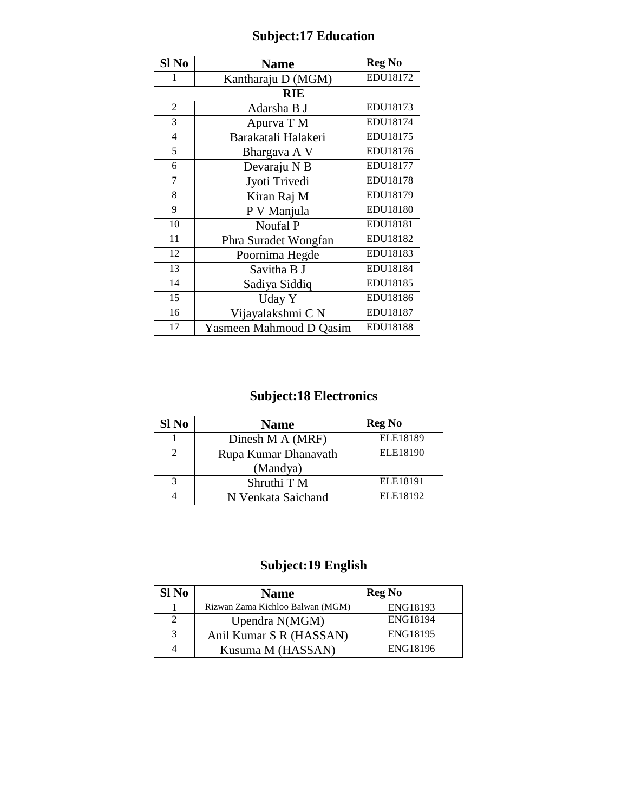| Sl No          | <b>Name</b>             | <b>Reg No</b> |
|----------------|-------------------------|---------------|
| 1              | Kantharaju D (MGM)      | EDU18172      |
|                | <b>RIE</b>              |               |
| $\overline{2}$ | Adarsha B J             | EDU18173      |
| 3              | Apurva T M              | EDU18174      |
| $\overline{4}$ | Barakatali Halakeri     | EDU18175      |
| 5              | Bhargava A V            | EDU18176      |
| 6              | Devaraju N B            | EDU18177      |
| 7              | Jyoti Trivedi           | EDU18178      |
| 8              | Kiran Raj M             | EDU18179      |
| 9              | P V Manjula             | EDU18180      |
| 10             | Noufal P                | EDU18181      |
| 11             | Phra Suradet Wongfan    | EDU18182      |
| 12             | Poornima Hegde          | EDU18183      |
| 13             | Savitha B J             | EDU18184      |
| 14             | Sadiya Siddiq           | EDU18185      |
| 15             | Uday Y                  | EDU18186      |
| 16             | Vijayalakshmi CN        | EDU18187      |
| 17             | Yasmeen Mahmoud D Qasim | EDU18188      |

## **Subject:18 Electronics**

| Sl No        | <b>Name</b>          | <b>Reg No</b> |
|--------------|----------------------|---------------|
|              | Dinesh M A (MRF)     | ELE18189      |
|              | Rupa Kumar Dhanavath | ELE18190      |
|              | (Mandya)             |               |
| $\mathbf{z}$ | Shruthi T M          | ELE18191      |
|              | N Venkata Saichand   | ELE18192      |

## **Subject:19 English**

| Sl No | <b>Name</b>                      | <b>Reg No</b>   |
|-------|----------------------------------|-----------------|
|       | Rizwan Zama Kichloo Balwan (MGM) | ENG18193        |
|       | Upendra N(MGM)                   | <b>ENG18194</b> |
|       | Anil Kumar S R (HASSAN)          | ENG18195        |
|       | Kusuma M (HASSAN)                | ENG18196        |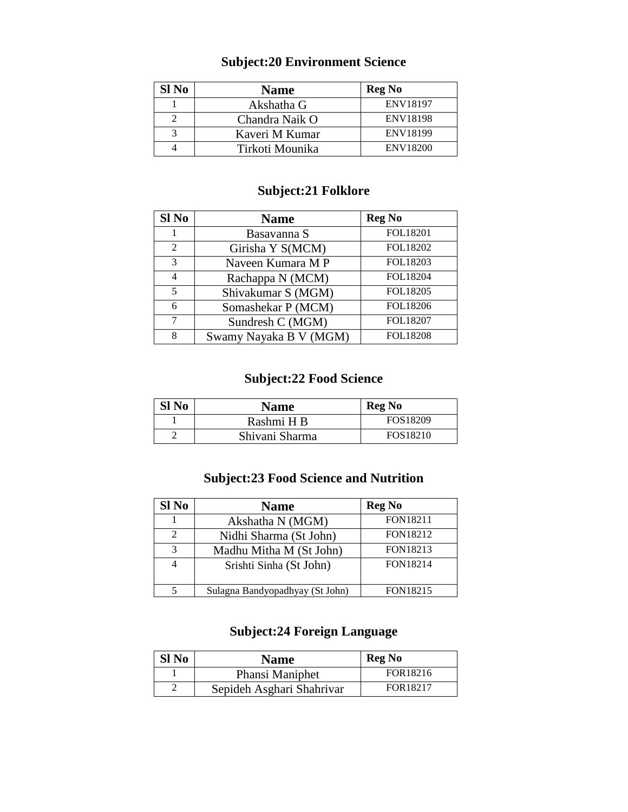#### **Subject:20 Environment Science**

| Sl No | <b>Name</b>     | <b>Reg No</b>   |
|-------|-----------------|-----------------|
|       | Akshatha G      | ENV18197        |
|       | Chandra Naik O  | <b>ENV18198</b> |
|       | Kaveri M Kumar  | <b>ENV18199</b> |
|       | Tirkoti Mounika | <b>ENV18200</b> |

#### **Subject:21 Folklore**

| Sl No                   | <b>Name</b>            | <b>Reg No</b>   |
|-------------------------|------------------------|-----------------|
|                         | Basavanna S            | FOL18201        |
| $\mathfrak{D}$          | Girisha Y S(MCM)       | FOL18202        |
| $\mathcal{R}$           | Naveen Kumara M P      | FOL18203        |
| 4                       | Rachappa N (MCM)       | FOL18204        |
| $\overline{\mathbf{5}}$ | Shivakumar S (MGM)     | FOL18205        |
| 6                       | Somashekar P (MCM)     | FOL18206        |
| 7                       | Sundresh C (MGM)       | FOL18207        |
| 8                       | Swamy Nayaka B V (MGM) | <b>FOL18208</b> |

#### **Subject:22 Food Science**

| Sl No | Name           | <b>Reg No</b> |
|-------|----------------|---------------|
|       | Rashmi H B     | FOS18209      |
|       | Shivani Sharma | FOS18210      |

#### **Subject:23 Food Science and Nutrition**

| Sl No                       | <b>Name</b>                     | <b>Reg No</b>   |
|-----------------------------|---------------------------------|-----------------|
|                             | Akshatha N (MGM)                | <b>FON18211</b> |
| $\mathcal{D}_{\mathcal{L}}$ | Nidhi Sharma (St John)          | FON18212        |
| $\mathbf{\mathcal{R}}$      | Madhu Mitha M (St John)         | FON18213        |
|                             | Srishti Sinha (St John)         | FON18214        |
|                             | Sulagna Bandyopadhyay (St John) | FON18215        |

#### **Subject:24 Foreign Language**

| Sl No | <b>Name</b>               | <b>Reg No</b> |
|-------|---------------------------|---------------|
|       | Phansi Maniphet           | FOR18216      |
|       | Sepideh Asghari Shahrivar | FOR18217      |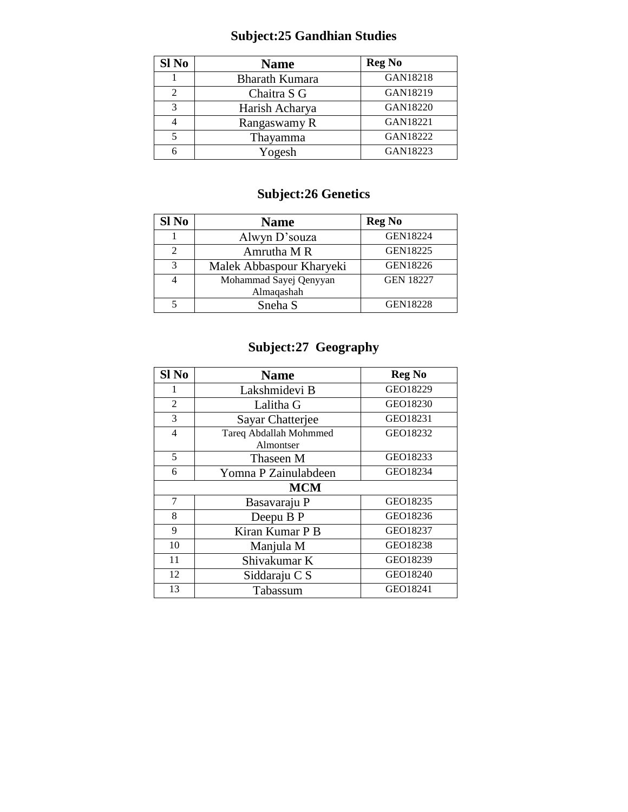# **Subject:25 Gandhian Studies**

| Sl No         | <b>Name</b>           | <b>Reg No</b> |
|---------------|-----------------------|---------------|
|               | <b>Bharath Kumara</b> | GAN18218      |
| $\mathcal{D}$ | Chaitra S G           | GAN18219      |
| $\mathbf{c}$  | Harish Acharya        | GAN18220      |
|               | Rangaswamy R          | GAN18221      |
|               | Thayamma              | GAN18222      |
|               | Yogesh                | GAN18223      |

## **Subject:26 Genetics**

| Sl No                   | <b>Name</b>              | <b>Reg No</b>    |
|-------------------------|--------------------------|------------------|
|                         | Alwyn D'souza            | <b>GEN18224</b>  |
|                         | Amrutha M R              | GEN18225         |
| $\mathbf{\overline{3}}$ | Malek Abbaspour Kharyeki | GEN18226         |
|                         | Mohammad Sayej Qenyyan   | <b>GEN 18227</b> |
|                         | Almaqashah               |                  |
|                         | Sneha S                  | <b>GEN18228</b>  |

## **Subject:27 Geography**

| Sl No          | <b>Name</b>                         | <b>Reg No</b> |
|----------------|-------------------------------------|---------------|
| 1              | Lakshmidevi B                       | GEO18229      |
| 2              | Lalitha G                           | GEO18230      |
| 3              | <b>Sayar Chatterjee</b>             | GEO18231      |
| $\overline{4}$ | Tareq Abdallah Mohmmed<br>Almontser | GEO18232      |
| 5              | Thaseen M                           | GEO18233      |
| 6              | Yomna P Zainulabdeen                | GEO18234      |
|                | <b>MCM</b>                          |               |
| 7              | Basavaraju P                        | GEO18235      |
| 8              | Deepu B P                           | GEO18236      |
| 9              | Kiran Kumar P B                     | GEO18237      |
| 10             | Manjula M                           | GEO18238      |
| 11             | Shivakumar K                        | GEO18239      |
| 12             | Siddaraju C S                       | GEO18240      |
| 13             | Tabassum                            | GEO18241      |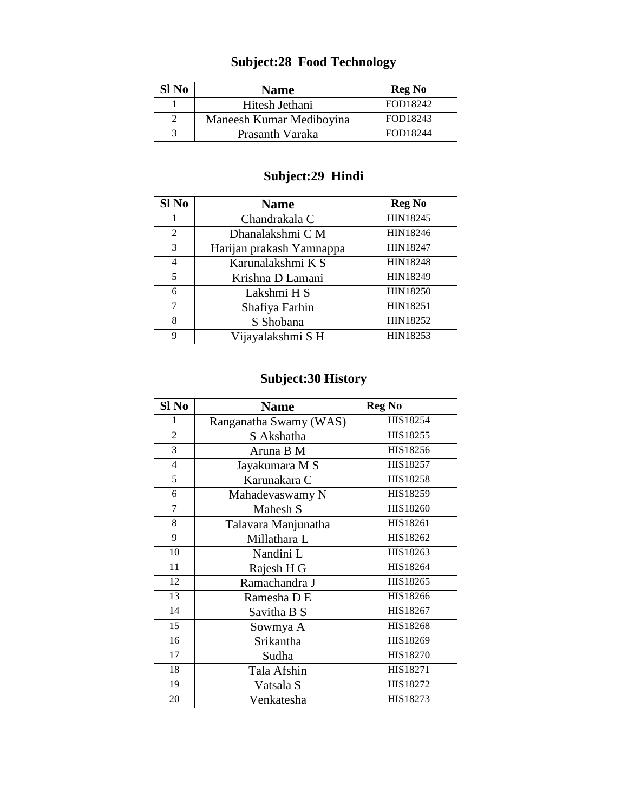## **Subject:28 Food Technology**

| Sl No | <b>Name</b>              | <b>Reg No</b> |
|-------|--------------------------|---------------|
|       | Hitesh Jethani           | FOD18242      |
|       | Maneesh Kumar Mediboyina | FOD18243      |
|       | Prasanth Varaka          | FOD18244      |

## **Subject:29 Hindi**

| Sl No          | <b>Name</b>              | <b>Reg No</b>   |
|----------------|--------------------------|-----------------|
|                | Chandrakala C            | HIN18245        |
| 2              | Dhanalakshmi C M         | HIN18246        |
| 3              | Harijan prakash Yamnappa | <b>HIN18247</b> |
| $\overline{4}$ | Karunalakshmi K S        | <b>HIN18248</b> |
| 5              | Krishna D Lamani         | HIN18249        |
| 6              | Lakshmi H S              | <b>HIN18250</b> |
| 7              | Shafiya Farhin           | <b>HIN18251</b> |
| 8              | S Shobana                | HIN18252        |
| 9              | Vijayalakshmi SH         | HIN18253        |

### **Subject:30 History**

| Sl No                    | <b>Name</b>            | <b>Reg No</b> |
|--------------------------|------------------------|---------------|
| 1                        | Ranganatha Swamy (WAS) | HIS18254      |
| $\overline{2}$           | S Akshatha             | HIS18255      |
| 3                        | Aruna B M              | HIS18256      |
| $\overline{\mathcal{L}}$ | Jayakumara M S         | HIS18257      |
| 5                        | Karunakara C           | HIS18258      |
| 6                        | Mahadevaswamy N        | HIS18259      |
| 7                        | Mahesh S               | HIS18260      |
| 8                        | Talavara Manjunatha    | HIS18261      |
| 9                        | Millathara L           | HIS18262      |
| 10                       | Nandini L              | HIS18263      |
| 11                       | Rajesh H G             | HIS18264      |
| 12                       | Ramachandra J          | HIS18265      |
| 13                       | Ramesha D E            | HIS18266      |
| 14                       | Savitha B S            | HIS18267      |
| 15                       | Sowmya A               | HIS18268      |
| 16                       | Srikantha              | HIS18269      |
| 17                       | Sudha                  | HIS18270      |
| 18                       | Tala Afshin            | HIS18271      |
| 19                       | Vatsala S              | HIS18272      |
| 20                       | Venkatesha             | HIS18273      |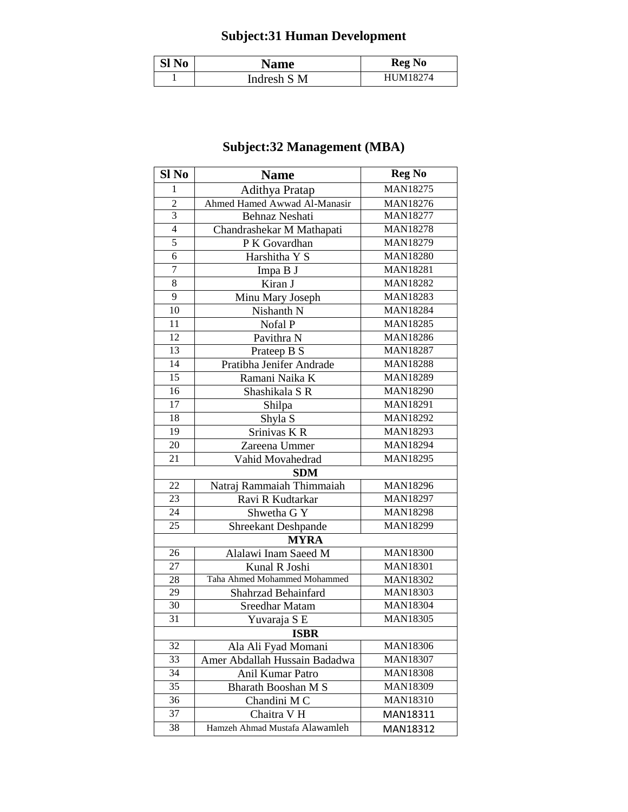# **Subject:31 Human Development**

| Sl No | <b>Name</b> | <b>Reg No</b> |
|-------|-------------|---------------|
|       | Indresh S M | HI IM18274    |

## **Subject:32 Management (MBA)**

| Sl No           | <b>Name</b>                    | <b>Reg No</b>   |
|-----------------|--------------------------------|-----------------|
| 1               | Adithya Pratap                 | <b>MAN18275</b> |
| $\overline{c}$  | Ahmed Hamed Awwad Al-Manasir   | <b>MAN18276</b> |
| 3               | <b>Behnaz Neshati</b>          | <b>MAN18277</b> |
| $\overline{4}$  | Chandrashekar M Mathapati      | <b>MAN18278</b> |
| 5               | P K Govardhan                  | MAN18279        |
| 6               | Harshitha Y S                  | <b>MAN18280</b> |
| $\overline{7}$  | Impa B J                       | <b>MAN18281</b> |
| 8               | Kiran J                        | <b>MAN18282</b> |
| 9               | Minu Mary Joseph               | <b>MAN18283</b> |
| 10              | Nishanth N                     | <b>MAN18284</b> |
| 11              | Nofal P                        | <b>MAN18285</b> |
| 12              | Pavithra N                     | <b>MAN18286</b> |
| 13              | Prateep B S                    | <b>MAN18287</b> |
| 14              | Pratibha Jenifer Andrade       | <b>MAN18288</b> |
| $\overline{15}$ | Ramani Naika K                 | MAN18289        |
| 16              | Shashikala S R                 | <b>MAN18290</b> |
| 17              | Shilpa                         | <b>MAN18291</b> |
| 18              | Shyla S                        | <b>MAN18292</b> |
| 19              | Srinivas KR                    | MAN18293        |
| 20              | Zareena Ummer                  | <b>MAN18294</b> |
| 21              | Vahid Movahedrad               | <b>MAN18295</b> |
|                 | <b>SDM</b>                     |                 |
| 22              | Natraj Rammaiah Thimmaiah      | <b>MAN18296</b> |
| 23              | Ravi R Kudtarkar               | MAN18297        |
| 24              | Shwetha G Y                    | <b>MAN18298</b> |
| 25              | Shreekant Deshpande            | MAN18299        |
|                 | <b>MYRA</b>                    |                 |
| 26              | Alalawi Inam Saeed M           | <b>MAN18300</b> |
| 27              | Kunal R Joshi                  | <b>MAN18301</b> |
| 28              | Taha Ahmed Mohammed Mohammed   | <b>MAN18302</b> |
| 29              | Shahrzad Behainfard            | <b>MAN18303</b> |
| 30              | <b>Sreedhar Matam</b>          | <b>MAN18304</b> |
| 31              | Yuvaraja S E                   | <b>MAN18305</b> |
|                 | <b>ISBR</b>                    |                 |
| 32              | Ala Ali Fyad Momani            | <b>MAN18306</b> |
| 33              | Amer Abdallah Hussain Badadwa  | <b>MAN18307</b> |
| 34              | Anil Kumar Patro               | <b>MAN18308</b> |
| 35              | Bharath Booshan M S            | MAN18309        |
| 36              | Chandini MC                    | <b>MAN18310</b> |
| 37              | Chaitra V H                    | MAN18311        |
| 38              | Hamzeh Ahmad Mustafa Alawamleh | MAN18312        |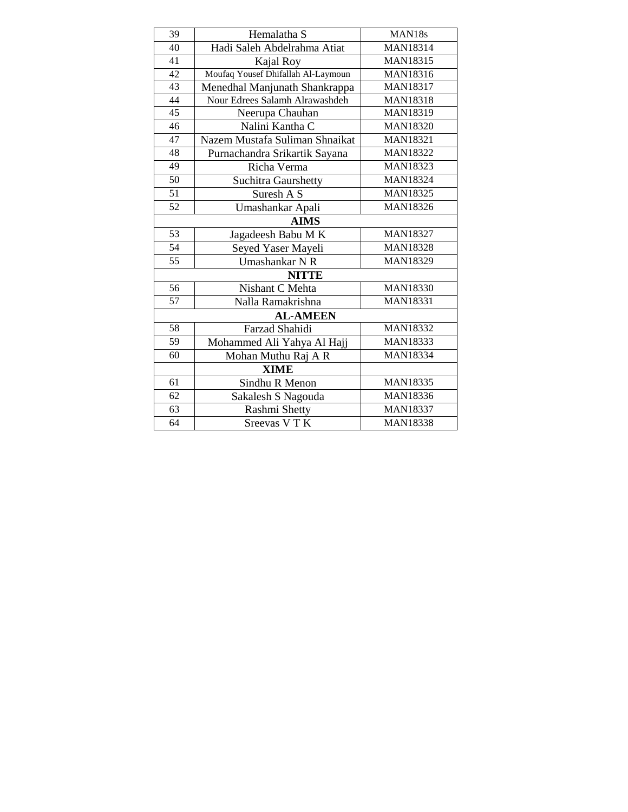| 39              | Hemalatha S                        | MAN18s          |
|-----------------|------------------------------------|-----------------|
| 40              | Hadi Saleh Abdelrahma Atiat        | <b>MAN18314</b> |
| $\overline{41}$ | Kajal Roy                          | <b>MAN18315</b> |
| 42              | Moufaq Yousef Dhifallah Al-Laymoun | <b>MAN18316</b> |
| 43              | Menedhal Manjunath Shankrappa      | <b>MAN18317</b> |
| 44              | Nour Edrees Salamh Alrawashdeh     | <b>MAN18318</b> |
| 45              | Neerupa Chauhan                    | <b>MAN18319</b> |
| 46              | Nalini Kantha C                    | <b>MAN18320</b> |
| 47              | Nazem Mustafa Suliman Shnaikat     | <b>MAN18321</b> |
| 48              | Purnachandra Srikartik Sayana      | <b>MAN18322</b> |
| 49              | Richa Verma                        | MAN18323        |
| 50              | <b>Suchitra Gaurshetty</b>         | <b>MAN18324</b> |
| 51              | Suresh A S                         | <b>MAN18325</b> |
| 52              | Umashankar Apali                   | <b>MAN18326</b> |
|                 | <b>AIMS</b>                        |                 |
| 53              | Jagadeesh Babu MK                  | <b>MAN18327</b> |
| 54              | Seyed Yaser Mayeli                 | <b>MAN18328</b> |
| $\overline{55}$ | Umashankar NR                      | <b>MAN18329</b> |
|                 | <b>NITTE</b>                       |                 |
| 56              | Nishant C Mehta                    | <b>MAN18330</b> |
| 57              | Nalla Ramakrishna                  | <b>MAN18331</b> |
|                 | <b>AL-AMEEN</b>                    |                 |
| 58              | Farzad Shahidi                     | <b>MAN18332</b> |
| 59              | Mohammed Ali Yahya Al Hajj         | <b>MAN18333</b> |
| 60              | Mohan Muthu Raj A R                | <b>MAN18334</b> |
|                 | <b>XIME</b>                        |                 |
| 61              | Sindhu R Menon                     | <b>MAN18335</b> |
| 62              | Sakalesh S Nagouda                 | <b>MAN18336</b> |
| 63              | Rashmi Shetty                      | <b>MAN18337</b> |
| 64              | Sreevas V T K                      | <b>MAN18338</b> |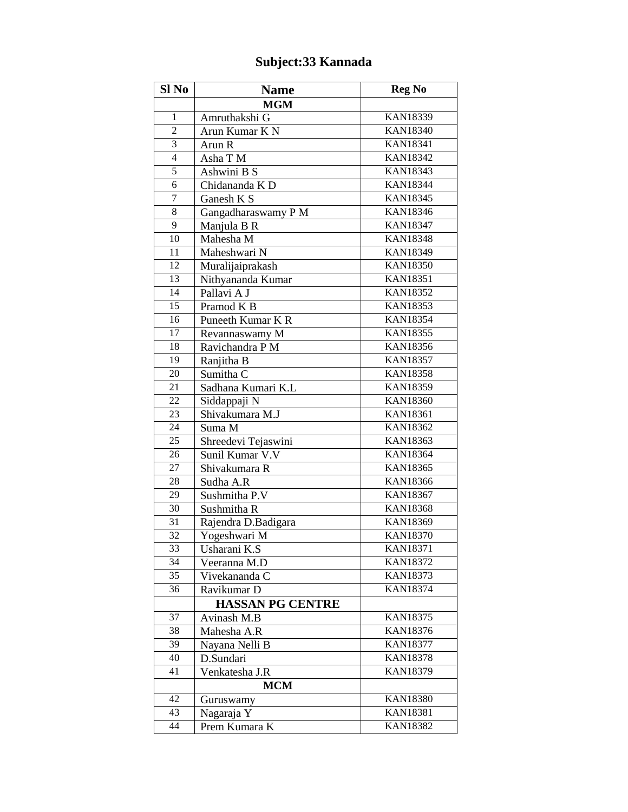## **Subject:33 Kannada**

| Sl No           | <b>Name</b>             | <b>Reg No</b>   |
|-----------------|-------------------------|-----------------|
|                 | <b>MGM</b>              |                 |
| 1               | Amruthakshi G           | <b>KAN18339</b> |
| $\overline{2}$  | Arun Kumar K N          | <b>KAN18340</b> |
| 3               | Arun R                  | <b>KAN18341</b> |
| $\overline{4}$  | Asha T M                | <b>KAN18342</b> |
| 5               | Ashwini B S             | <b>KAN18343</b> |
| 6               | Chidananda K D          | <b>KAN18344</b> |
| $\tau$          | Ganesh K S              | <b>KAN18345</b> |
| 8               | Gangadharaswamy P M     | <b>KAN18346</b> |
| 9               | Manjula B R             | <b>KAN18347</b> |
| 10              | Mahesha M               | <b>KAN18348</b> |
| 11              | Maheshwari N            | KAN18349        |
| 12              | Muralijaiprakash        | <b>KAN18350</b> |
| 13              | Nithyananda Kumar       | <b>KAN18351</b> |
| 14              | Pallavi A J             | <b>KAN18352</b> |
| $\overline{15}$ | Pramod K B              | <b>KAN18353</b> |
| 16              | Puneeth Kumar K R       | <b>KAN18354</b> |
| 17              | Revannaswamy M          | <b>KAN18355</b> |
| 18              | Ravichandra P M         | <b>KAN18356</b> |
| 19              | Ranjitha B              | <b>KAN18357</b> |
| 20              | Sumitha <sub>C</sub>    | <b>KAN18358</b> |
| 21              | Sadhana Kumari K.L      | <b>KAN18359</b> |
| $\overline{22}$ | Siddappaji N            | <b>KAN18360</b> |
| 23              | Shivakumara M.J         | <b>KAN18361</b> |
| 24              | Suma M                  | <b>KAN18362</b> |
| 25              | Shreedevi Tejaswini     | <b>KAN18363</b> |
| 26              | Sunil Kumar V.V         | <b>KAN18364</b> |
| 27              | Shivakumara R           | <b>KAN18365</b> |
| 28              | Sudha A.R               | <b>KAN18366</b> |
| 29              | Sushmitha P.V           | <b>KAN18367</b> |
| 30              | Sushmitha R             | <b>KAN18368</b> |
| 31              | Rajendra D.Badigara     | <b>KAN18369</b> |
| 32              | Yogeshwari M            | <b>KAN18370</b> |
| 33              | Usharani K.S            | <b>KAN18371</b> |
| 34              | Veeranna M.D            | <b>KAN18372</b> |
| 35              | Vivekananda C           | <b>KAN18373</b> |
| 36              | Ravikumar D             | <b>KAN18374</b> |
|                 | <b>HASSAN PG CENTRE</b> |                 |
| 37              | Avinash M.B             | <b>KAN18375</b> |
| 38              | Mahesha A.R             | <b>KAN18376</b> |
| 39              | Nayana Nelli B          | <b>KAN18377</b> |
| 40              | D.Sundari               | <b>KAN18378</b> |
| 41              | Venkatesha J.R          | KAN18379        |
|                 | <b>MCM</b>              |                 |
| 42              | Guruswamy               | <b>KAN18380</b> |
| 43              | Nagaraja Y              | <b>KAN18381</b> |
| 44              | Prem Kumara K           | <b>KAN18382</b> |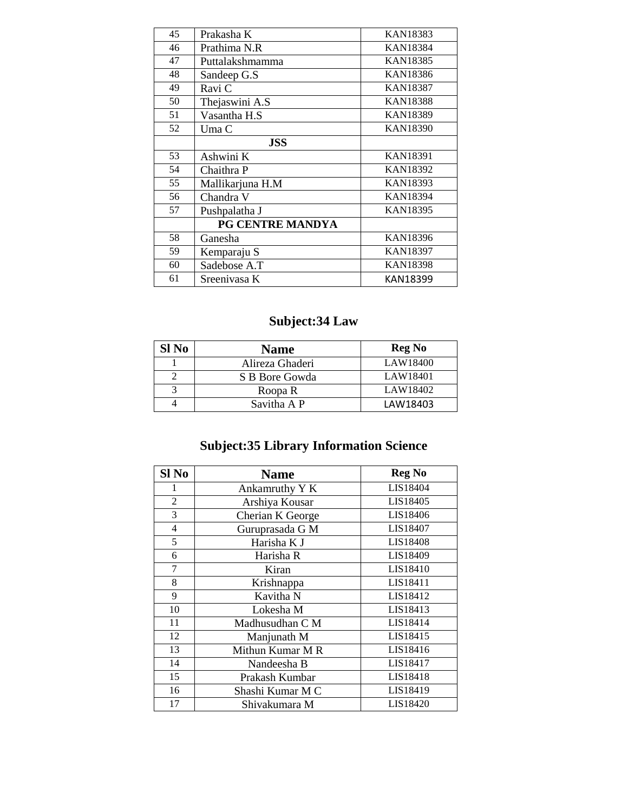| 45 | Prakasha K       | KAN18383        |
|----|------------------|-----------------|
| 46 | Prathima N.R     | <b>KAN18384</b> |
| 47 | Puttalakshmamma  | <b>KAN18385</b> |
| 48 | Sandeep G.S      | KAN18386        |
| 49 | Ravi C           | <b>KAN18387</b> |
| 50 | Thejaswini A.S   | <b>KAN18388</b> |
| 51 | Vasantha H.S     | <b>KAN18389</b> |
| 52 | Uma C            | <b>KAN18390</b> |
|    | <b>JSS</b>       |                 |
| 53 | Ashwini K        | <b>KAN18391</b> |
| 54 | Chaithra P       | <b>KAN18392</b> |
| 55 | Mallikarjuna H.M | <b>KAN18393</b> |
| 56 | Chandra V        | <b>KAN18394</b> |
| 57 | Pushpalatha J    | <b>KAN18395</b> |
|    | PG CENTRE MANDYA |                 |
| 58 | Ganesha          | <b>KAN18396</b> |
| 59 | Kemparaju S      | <b>KAN18397</b> |
| 60 | Sadebose A.T     | <b>KAN18398</b> |
| 61 | Sreenivasa K     | KAN18399        |

## **Subject:34 Law**

| Sl No | <b>Name</b>     | <b>Reg No</b> |
|-------|-----------------|---------------|
|       | Alireza Ghaderi | LAW18400      |
|       | S B Bore Gowda  | LAW18401      |
|       | Roopa R         | LAW18402      |
|       | Savitha A P     | LAW18403      |

# **Subject:35 Library Information Science**

| Sl No          | <b>Name</b>      | <b>Reg No</b> |
|----------------|------------------|---------------|
| 1              | Ankamruthy Y K   | LIS18404      |
| $\overline{2}$ | Arshiya Kousar   | LIS18405      |
| 3              | Cherian K George | LIS18406      |
| $\overline{4}$ | Guruprasada G M  | LIS18407      |
| 5              | Harisha K J      | LIS18408      |
| 6              | Harisha R        | LIS18409      |
| 7              | Kiran            | LIS18410      |
| 8              | Krishnappa       | LIS18411      |
| 9              | Kavitha N        | LIS18412      |
| 10             | Lokesha M        | LIS18413      |
| 11             | Madhusudhan C M  | LIS18414      |
| 12             | Manjunath M      | LIS18415      |
| 13             | Mithun Kumar M R | LIS18416      |
| 14             | Nandeesha B      | LIS18417      |
| 15             | Prakash Kumbar   | LIS18418      |
| 16             | Shashi Kumar M C | LIS18419      |
| 17             | Shivakumara M    | LIS18420      |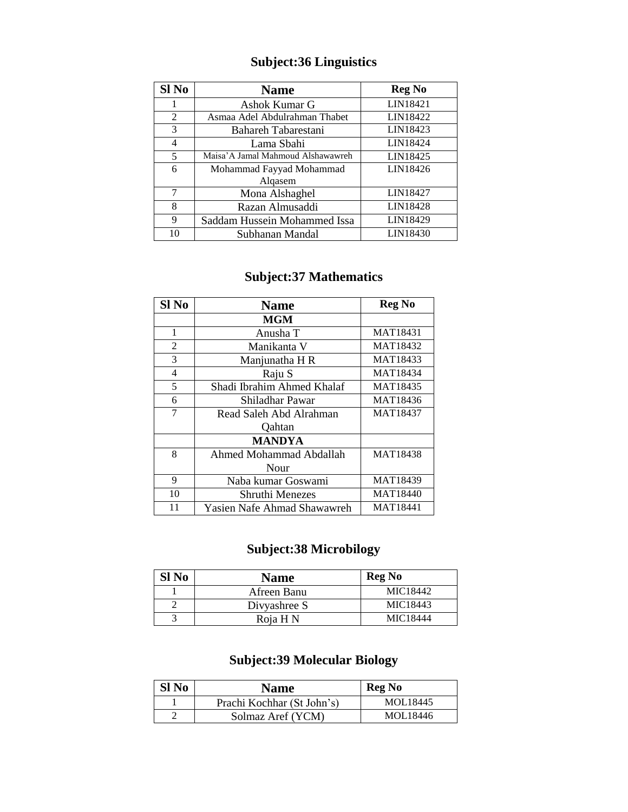### **Subject:36 Linguistics**

| Sl No | <b>Name</b>                       | <b>Reg No</b> |
|-------|-----------------------------------|---------------|
| 1     | Ashok Kumar G                     | LIN18421      |
| 2     | Asmaa Adel Abdulrahman Thabet     | LIN18422      |
| 3     | Bahareh Tabarestani               | LIN18423      |
| 4     | Lama Sbahi                        | LIN18424      |
| 5     | Maisa'A Jamal Mahmoud Alshawawreh | LIN18425      |
| 6     | Mohammad Fayyad Mohammad          | LIN18426      |
|       | Algasem                           |               |
| 7     | Mona Alshaghel                    | LIN18427      |
| 8     | Razan Almusaddi                   | LIN18428      |
| 9     | Saddam Hussein Mohammed Issa      | LIN18429      |
| 10    | Subhanan Mandal                   | LIN18430      |

### **Subject:37 Mathematics**

| Sl No          | <b>Name</b>                 | <b>Reg No</b>   |
|----------------|-----------------------------|-----------------|
|                | <b>MGM</b>                  |                 |
| 1              | Anusha T                    | MAT18431        |
| $\overline{2}$ | Manikanta V                 | MAT18432        |
| 3              | Manjunatha H R              | MAT18433        |
| 4              | Raju S                      | <b>MAT18434</b> |
| 5              | Shadi Ibrahim Ahmed Khalaf  | MAT18435        |
| 6              | Shiladhar Pawar             | MAT18436        |
| 7              | Read Saleh Abd Alrahman     | MAT18437        |
|                | <b>Qahtan</b>               |                 |
|                | <b>MANDYA</b>               |                 |
| 8              | Ahmed Mohammad Abdallah     | <b>MAT18438</b> |
|                | Nour                        |                 |
| 9              | Naba kumar Goswami          | MAT18439        |
| 10             | Shruthi Menezes             | MAT18440        |
| 11             | Yasien Nafe Ahmad Shawawreh | MAT18441        |

### **Subject:38 Microbilogy**

| Sl No | <b>Name</b>  | <b>Reg No</b> |
|-------|--------------|---------------|
|       | Afreen Banu  | MIC18442      |
|       | Divyashree S | MIC18443      |
|       | Roja H N     | MIC18444      |

### **Subject:39 Molecular Biology**

| Sl <sub>No</sub> | <b>Name</b>                | <b>Reg No</b> |
|------------------|----------------------------|---------------|
|                  | Prachi Kochhar (St John's) | MOL18445      |
|                  | Solmaz Aref (YCM)          | MOL18446      |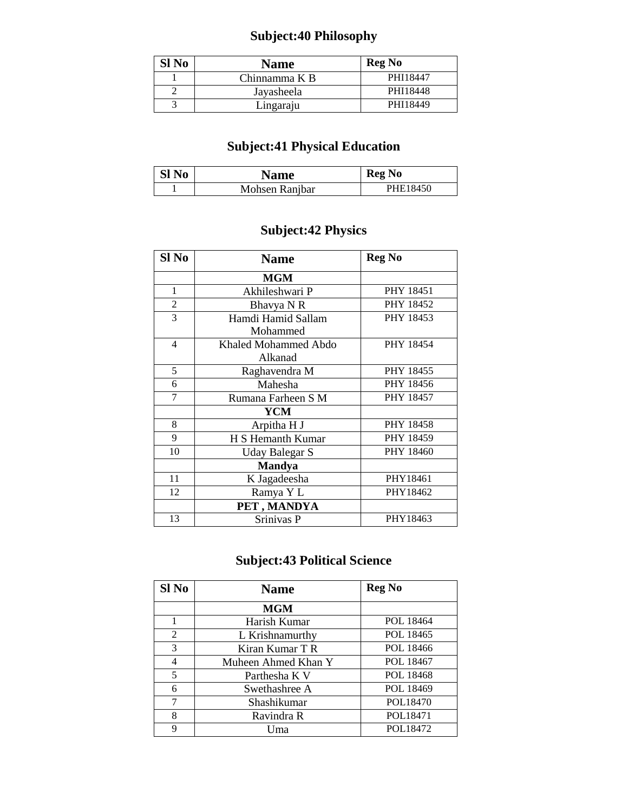## **Subject:40 Philosophy**

| Sl No | <b>Name</b>   | <b>Reg No</b> |
|-------|---------------|---------------|
|       | Chinnamma K B | PHI18447      |
|       | Jayasheela    | PHI18448      |
|       | Lingaraju     | PHI18449      |

### **Subject:41 Physical Education**

| Sl <sub>No</sub> | <b>Name</b>    | <b>Reg No</b> |
|------------------|----------------|---------------|
|                  | Mohsen Ranjbar | PHE18450      |

### **Subject:42 Physics**

| Sl No          | <b>Name</b>          | <b>Reg No</b>    |
|----------------|----------------------|------------------|
|                | <b>MGM</b>           |                  |
| 1              | Akhileshwari P       | <b>PHY 18451</b> |
| $\overline{c}$ | Bhavya N R           | PHY 18452        |
| 3              | Hamdi Hamid Sallam   | PHY 18453        |
|                | Mohammed             |                  |
| $\overline{4}$ | Khaled Mohammed Abdo | PHY 18454        |
|                | Alkanad              |                  |
| 5              | Raghavendra M        | PHY 18455        |
| 6              | Mahesha              | PHY 18456        |
| 7              | Rumana Farheen S M   | <b>PHY 18457</b> |
|                | <b>YCM</b>           |                  |
| 8              | Arpitha H J          | <b>PHY 18458</b> |
| 9              | H S Hemanth Kumar    | PHY 18459        |
| 10             | Uday Balegar S       | PHY 18460        |
|                | <b>Mandya</b>        |                  |
| 11             | K Jagadeesha         | PHY18461         |
| 12             | Ramya Y L            | PHY18462         |
|                | PET, MANDYA          |                  |
| 13             | Srinivas P           | PHY18463         |

## **Subject:43 Political Science**

| Sl <sub>No</sub> | <b>Name</b>         | <b>Reg No</b> |
|------------------|---------------------|---------------|
|                  | MGM                 |               |
| 1                | Harish Kumar        | POL 18464     |
| 2                | L Krishnamurthy     | POL 18465     |
| 3                | Kiran Kumar T R     | POL 18466     |
| 4                | Muheen Ahmed Khan Y | POL 18467     |
| 5                | Parthesha K V       | POL 18468     |
| 6                | Swethashree A       | POL 18469     |
| 7                | Shashikumar         | POL18470      |
| 8                | Ravindra R          | POL18471      |
| 9                | Uma                 | POL18472      |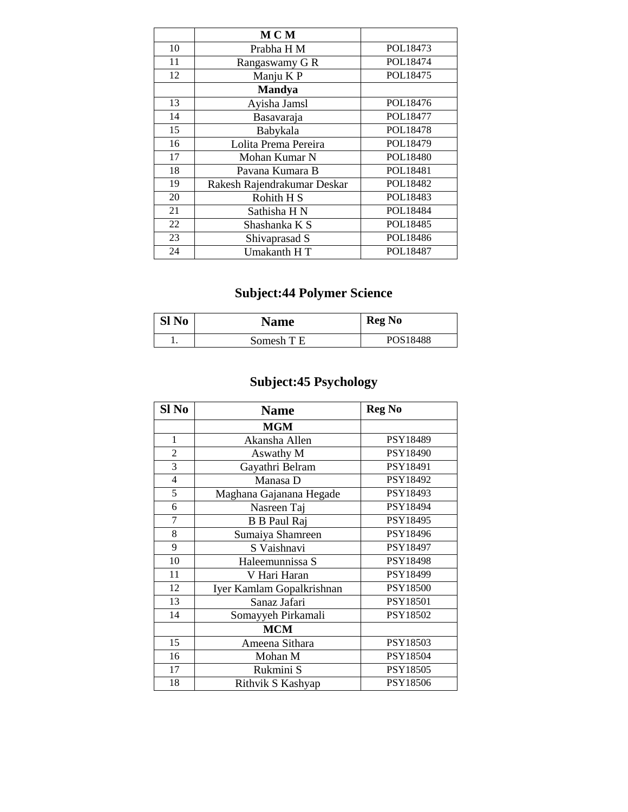|    | M C M                       |          |
|----|-----------------------------|----------|
| 10 | Prabha H M                  | POL18473 |
| 11 | Rangaswamy G R              | POL18474 |
| 12 | Manju K P                   | POL18475 |
|    | <b>Mandya</b>               |          |
| 13 | Ayisha Jamsl                | POL18476 |
| 14 | Basavaraja                  | POL18477 |
| 15 | Babykala                    | POL18478 |
| 16 | Lolita Prema Pereira        | POL18479 |
| 17 | Mohan Kumar N               | POL18480 |
| 18 | Pavana Kumara B             | POL18481 |
| 19 | Rakesh Rajendrakumar Deskar | POL18482 |
| 20 | Rohith H <sub>S</sub>       | POL18483 |
| 21 | Sathisha H N                | POL18484 |
| 22 | Shashanka K S               | POL18485 |
| 23 | Shivaprasad S               | POL18486 |
| 24 | Umakanth HT                 | POL18487 |

# **Subject:44 Polymer Science**

| Sl No | <b>Name</b> | <b>Reg No</b>        |
|-------|-------------|----------------------|
|       | Somesh T E  | POS <sub>18488</sub> |

# **Subject:45 Psychology**

| Sl <sub>No</sub> | <b>Name</b>               | <b>Reg No</b> |
|------------------|---------------------------|---------------|
|                  | <b>MGM</b>                |               |
| $\mathbf{1}$     | Akansha Allen             | PSY18489      |
| $\overline{2}$   | Aswathy M                 | PSY18490      |
| $\overline{3}$   | Gayathri Belram           | PSY18491      |
| $\overline{4}$   | Manasa D                  | PSY18492      |
| $\overline{5}$   | Maghana Gajanana Hegade   | PSY18493      |
| 6                | Nasreen Taj               | PSY18494      |
| $\overline{7}$   | <b>B</b> B Paul Raj       | PSY18495      |
| 8                | Sumaiya Shamreen          | PSY18496      |
| 9                | S Vaishnavi               | PSY18497      |
| 10               | Haleemunnissa S           | PSY18498      |
| 11               | V Hari Haran              | PSY18499      |
| 12               | Iyer Kamlam Gopalkrishnan | PSY18500      |
| 13               | Sanaz Jafari              | PSY18501      |
| 14               | Somayyeh Pirkamali        | PSY18502      |
|                  | <b>MCM</b>                |               |
| 15               | Ameena Sithara            | PSY18503      |
| 16               | Mohan M                   | PSY18504      |
| 17               | Rukmini S                 | PSY18505      |
| 18               | Rithvik S Kashyap         | PSY18506      |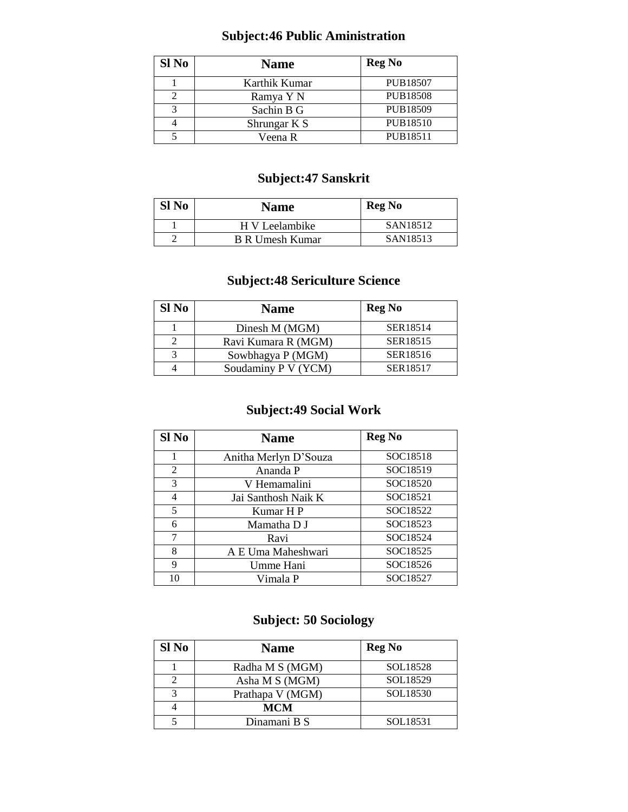### **Subject:46 Public Aministration**

| Sl No | <b>Name</b>   | <b>Reg No</b>   |
|-------|---------------|-----------------|
|       | Karthik Kumar | <b>PUB18507</b> |
|       | Ramya Y N     | <b>PUB18508</b> |
|       | Sachin B G    | PUB18509        |
|       | Shrungar K S  | <b>PUB18510</b> |
|       | Veena R       | PUB18511        |

#### **Subject:47 Sanskrit**

| Sl No | <b>Name</b>            | <b>Reg No</b> |
|-------|------------------------|---------------|
|       | H V Leelambike         | SAN18512      |
|       | <b>B R Umesh Kumar</b> | SAN18513      |

#### **Subject:48 Sericulture Science**

| Sl No | <b>Name</b>         | <b>Reg No</b> |
|-------|---------------------|---------------|
|       | Dinesh M (MGM)      | SER18514      |
|       | Ravi Kumara R (MGM) | SER18515      |
|       | Sowbhagya P (MGM)   | SER18516      |
|       | Soudaminy P V (YCM) | SER18517      |

#### **Subject:49 Social Work**

| Sl No | <b>Name</b>           | <b>Reg No</b> |
|-------|-----------------------|---------------|
| 1     | Anitha Merlyn D'Souza | SOC18518      |
| 2     | Ananda P              | SOC18519      |
| 3     | V Hemamalini          | SOC18520      |
| 4     | Jai Santhosh Naik K   | SOC18521      |
| 5     | Kumar H P             | SOC18522      |
| 6     | Mamatha D J           | SOC18523      |
| 7     | Ravi                  | SOC18524      |
| 8     | A E Uma Maheshwari    | SOC18525      |
| 9     | Umme Hani             | SOC18526      |
| 10    | Vimala P              | SOC18527      |

### **Subject: 50 Sociology**

| Sl No | <b>Name</b>      | <b>Reg No</b> |
|-------|------------------|---------------|
|       | Radha M S (MGM)  | SOL18528      |
|       | Asha M S (MGM)   | SOL18529      |
| 2     | Prathapa V (MGM) | SOL18530      |
|       | <b>MCM</b>       |               |
|       | Dinamani B S     | SOL18531      |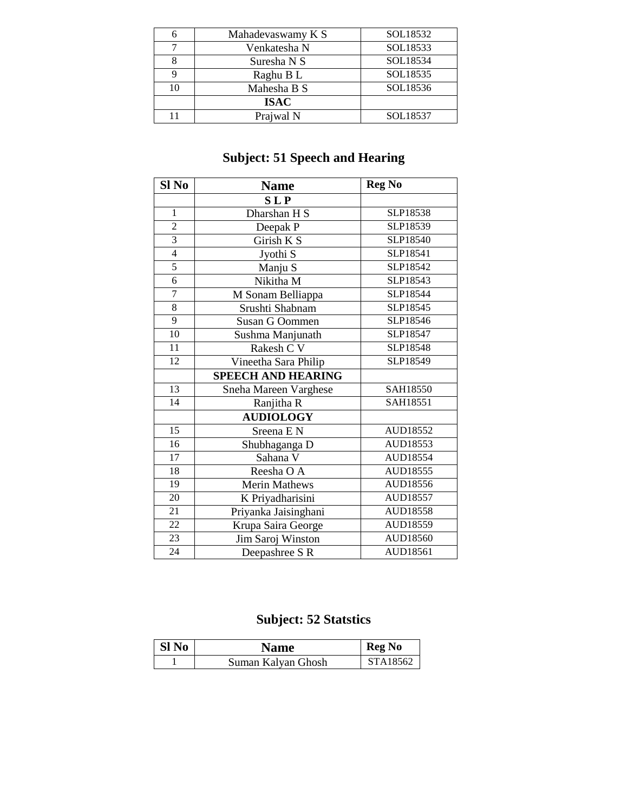|    | Mahadevaswamy K S | SOL18532 |
|----|-------------------|----------|
|    | Venkatesha N      | SOL18533 |
|    | Suresha N S       | SOL18534 |
|    | Raghu B L         | SOL18535 |
| 10 | Mahesha B S       | SOL18536 |
|    | <b>ISAC</b>       |          |
|    | Prajwal N         | SOL18537 |

## **Subject: 51 Speech and Hearing**

| Sl No           | <b>Name</b>               | <b>Reg No</b>   |
|-----------------|---------------------------|-----------------|
|                 | <b>SLP</b>                |                 |
| 1               | Dharshan H S              | SLP18538        |
| $\overline{c}$  | Deepak P                  | SLP18539        |
| $\overline{3}$  | Girish K S                | SLP18540        |
| $\overline{4}$  | Jyothi S                  | SLP18541        |
| 5               | Manju S                   | SLP18542        |
| $\overline{6}$  | Nikitha M                 | SLP18543        |
| $\overline{7}$  | M Sonam Belliappa         | SLP18544        |
| $\overline{8}$  | Srushti Shabnam           | SLP18545        |
| $\overline{9}$  | Susan G Oommen            | SLP18546        |
| 10              | Sushma Manjunath          | SLP18547        |
| 11              | Rakesh C V                | SLP18548        |
| 12              | Vineetha Sara Philip      | SLP18549        |
|                 | <b>SPEECH AND HEARING</b> |                 |
| $\overline{13}$ | Sneha Mareen Varghese     | SAH18550        |
| 14              | Ranjitha R                | SAH18551        |
|                 | <b>AUDIOLOGY</b>          |                 |
| $\overline{15}$ | Sreena E N                | <b>AUD18552</b> |
| $\overline{16}$ | Shubhaganga D             | AUD18553        |
| $\overline{17}$ | Sahana V                  | <b>AUD18554</b> |
| 18              | Reesha O A                | AUD18555        |
| $\overline{19}$ | <b>Merin Mathews</b>      | AUD18556        |
| 20              | K Priyadharisini          | AUD18557        |
| 21              | Priyanka Jaisinghani      | AUD18558        |
| 22              | Krupa Saira George        | AUD18559        |
| 23              | Jim Saroj Winston         | AUD18560        |
| 24              | Deepashree S R            | AUD18561        |

## **Subject: 52 Statstics**

| Sl No | Name               | <b>Reg No</b> |
|-------|--------------------|---------------|
|       | Suman Kalyan Ghosh | STA18562      |